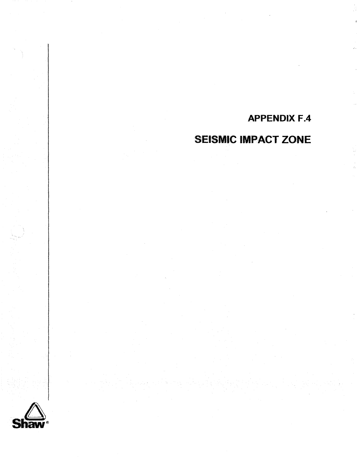# **APPENDIX F.4**

# **SEISMIC IMPACT ZONE**

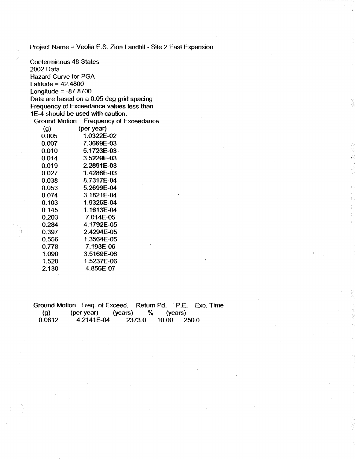Project Name = Veolia E.S. Zion Landfill - Site 2 East Expansion

Conterminous 48 States 2002 Data Hazard Curve for PGA Latitude =  $42.4800$ Longitude  $= -87.8700$ Data are based on a 0.05 deg grid spacing Frequency of Exceedance values less than 1E-4 should be used with caution. Ground Motion Frequency of Exceedance (g) (per year)<br> $0.005$  (1.0322E 0.005 1.0322E-02<br>0.007 7.3669E-03 0.007 7.3669E-03 0.010 5.1723E-03 0.014 3.5229E-03 0.019 2.2891E-03 0.027 1.4286E-03 0.038 8.7317E-04 0.053 5.2699E-04 0.074 3.1821E-04 0.103 1.9326E-04 0.145 1.1613E-04 0.203 7.014E-05 0.284 4.1792E-05 0.397 2.4294E-05 0.556 1.3564E-05 0.778 7.193E-06 1 -090 3.5169E-06 1.520 1.5237E-06 2.130 4.856E-07

Ground Motion Freq. of **Exceed.** Return Pd. **P.E. Exp.** Time (g) (per year) (years) % (years)<br>0.0612 4.2141E-04 2373.0 10.00 250.0 4.2141E-04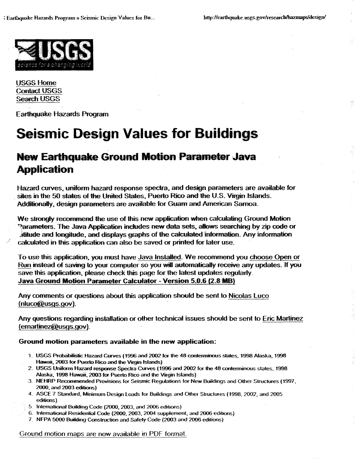

**USGS Home Contact USGS Seardt** USGS

**Earthquake** Hazards Program

# **Seismic Design Values for Buildings**

## **New Earthquake Ground Motion Parameter Java Application**

**Hazard** curves, **uniform** hazard response spedra, and design parameters are available for **sites** in **the 50 s3ates of the United** States, **Puerto Rico** and **the US.** Virgin Isiands. **Additionally, design** parameters **are** avaifabie for **Guam** and **American** Samoa-

We strongly recommend the use of this new application when calculating Ground Motion **Rarameters. The Java Application includes new data sets, allows searching by zip code or** and and longitude, and displays graphs of the calculated information. Any information calculated in this application can also be saved or printed for later use.

To use this appfication, you must have Java **installed- We recommend you** *choose* **Open** or Run instead of saving to your computer so you will automatically receive any updates. If you save this application, please check this page for the latest updates regularly. **Java Ground Motion Parameter Calculator** - **Version 5.0.6 (2-8 MB)** 

Any comments or questions about this application should be sent to Nicolas Luco (nluco@usgs.gov)-

Any questions regarding installation or other technical issues should **be sent** to Eric **Martinez**  (emartinez@usgs.gov).

### **Ground motion parameters available in the new application:**

- **1. USGS Probabiiisk Hazard Cunres (1996** and 2002 **for Ute 48 contermmWs stales. 1998 Alaska, 1998**  Hawaii, 2003 for Puerto Rico and the Virgin Islands)
- 2. **USGS Uniform Hazard response Spectra Cunres (1996** and 2002 **for** the **48 con1emimms states, 1998 Alaska. 1998 Hawaii, 2003 for Puerto Rico and €he Virgin Islands)**
- **3 NEHRP Recommended Provisions for Seismic Regulations for New** Buiidings and **Other Sructures (1997, 2000. and 2003 editions)**
- **4 ASCE 7 Standard,** Minimum **Design Loads** for Buildings **and Other Structures (1998,2002, and 2005 editions)**
- 5 international **Building Code (2000,2003, and 2006 edtttons)**
- **6 htemational Resesrdential Code (2000,2003,2004 supplement, and 2006 edittons)**
- **7 NFPA 5000** &liMing **Construction** and Safety **Code** (2003 **and 2006 editions)**

### **Ground motion maps are now available in PDF format.**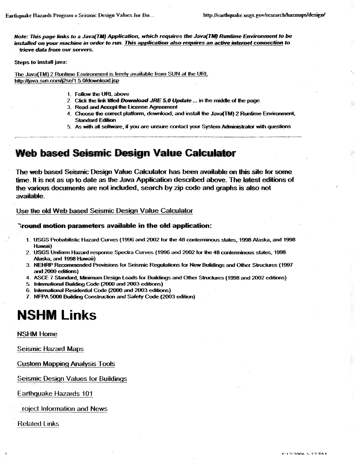*Note:* This *page* **links to a JavafTMf** Application, **which requires tbe hvam** *Rtrntime* **Efivironment** *to be*  **installed** *on your* **machirre in order to run.** This *application also* **requires** *an* **active internet connecfiDn** *to trieve data from our servers.* 

**Steps to install java:** 

**The Java(Th4)** 2 **Runtime Environment is freely available from SUN at** *the* **URL**  http://java.sun.com/j2se/1.5.0/download.jsp

- 1. Follow the URL above
- 2. Click the link titled Download JRE 5.0 Update ... in the middle of the page
- 3. Read and Accept the License Agreement
- 4. Choose the correct platform, download, and install the Java(TM) 2 Runtime Environment, **Standard Edition**
- 5. As with all software, if you are unsure contact your System Administrator with questions

### Web based Seismic Design Value Calculator

**The web based Seismic Design Value Calculator has been available on this site for some time. It is not as up to date as the Java Application described above. The latest editions of the various documents are not included, search by zip code and graphs is also not** available.

**Use the dd Web based Sismic Design Value Catwfator** 

#### **Tround motion parameters available in the old application:**

- **1. USGS Prohbiktii Hazard Curwes (1996 and** 2002 **for the 48 contemtinwts states. 1998 Alaska, and 1998**  tiawaii)
- 2. **USGS Uniform Hazard response Spectra Curves (1996 and 2002 for the 48 conterminous states, 1998** Alaska, **and 1998** Hawaii)
- 3. NEHRP Recommended Provisions for Seismic Regulations for New Buildings and Other Structures (1997 and 2000 editions)
- **4. ASCE 7 Saandard,** Minimum **Design Loads for Buildings and** Other **Structures (9998 and** 2002 **editsons)**
- **5.** btternahml **Elwildkg** *Code* **(2000 and 2003 editions)**
- **6. IntemaBonalReskhM** *Code* **(2000 and** 2003editions)
- 7. **NFPA 5000** Bddhg **Consbudion** *and* **Safety** *Code* **(2003 edition)**

# **NSHM Links**

**NSHM Home** 

**Seismic Hazard Maps** 

**Custom Mapping Analysis Tools** 

**Seismic Design Values for Buildings** 

**Earthquake Hazards 101** 

**roject Information and News** 

**Related Links**